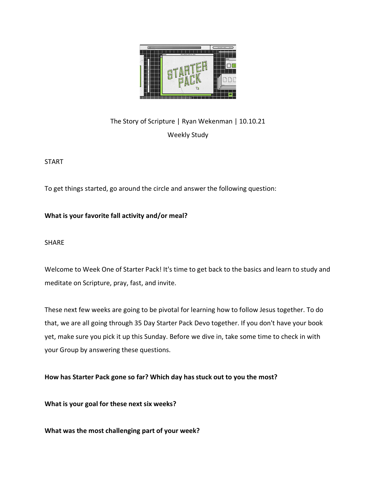

The Story of Scripture | Ryan Wekenman | 10.10.21 Weekly Study

START

To get things started, go around the circle and answer the following question:

**What is your favorite fall activity and/or meal?** 

SHARE

Welcome to Week One of Starter Pack! It's time to get back to the basics and learn to study and meditate on Scripture, pray, fast, and invite.

These next few weeks are going to be pivotal for learning how to follow Jesus together. To do that, we are all going through 35 Day Starter Pack Devo together. If you don't have your book yet, make sure you pick it up this Sunday. Before we dive in, take some time to check in with your Group by answering these questions.

**How has Starter Pack gone so far? Which day has stuck out to you the most?** 

**What is your goal for these next six weeks?** 

**What was the most challenging part of your week?**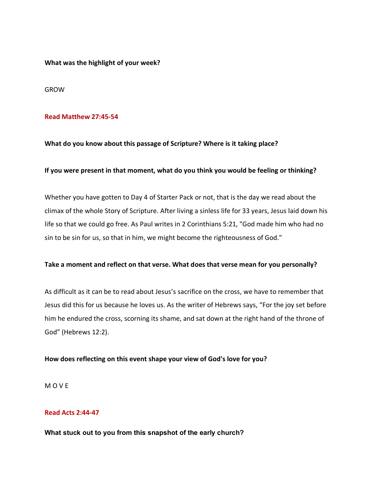**What was the highlight of your week?** 

GROW

### **Read Matthew 27:45-54**

## **What do you know about this passage of Scripture? Where is it taking place?**

## **If you were present in that moment, what do you think you would be feeling or thinking?**

Whether you have gotten to Day 4 of Starter Pack or not, that is the day we read about the climax of the whole Story of Scripture. After living a sinless life for 33 years, Jesus laid down his life so that we could go free. As Paul writes in 2 Corinthians 5:21, "God made him who had no sin to be sin for us, so that in him, we might become the righteousness of God."

#### **Take a moment and reflect on that verse. What does that verse mean for you personally?**

As difficult as it can be to read about Jesus's sacrifice on the cross, we have to remember that Jesus did this for us because he loves us. As the writer of Hebrews says, "For the joy set before him he endured the cross, scorning its shame, and sat down at the right hand of the throne of God" (Hebrews 12:2).

#### **How does reflecting on this event shape your view of God's love for you?**

M O V E

## **Read Acts 2:44-47**

#### **What stuck out to you from this snapshot of the early church?**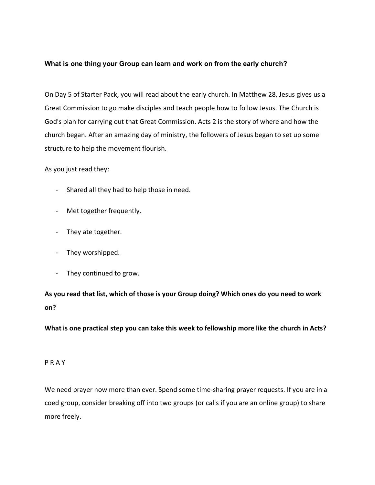# **What is one thing your Group can learn and work on from the early church?**

On Day 5 of Starter Pack, you will read about the early church. In Matthew 28, Jesus gives us a Great Commission to go make disciples and teach people how to follow Jesus. The Church is God's plan for carrying out that Great Commission. Acts 2 is the story of where and how the church began. After an amazing day of ministry, the followers of Jesus began to set up some structure to help the movement flourish.

As you just read they:

- Shared all they had to help those in need.
- Met together frequently.
- They ate together.
- They worshipped.
- They continued to grow.

**As you read that list, which of those is your Group doing? Which ones do you need to work on?** 

**What is one practical step you can take this week to fellowship more like the church in Acts?** 

#### P R A Y

We need prayer now more than ever. Spend some time-sharing prayer requests. If you are in a coed group, consider breaking off into two groups (or calls if you are an online group) to share more freely.